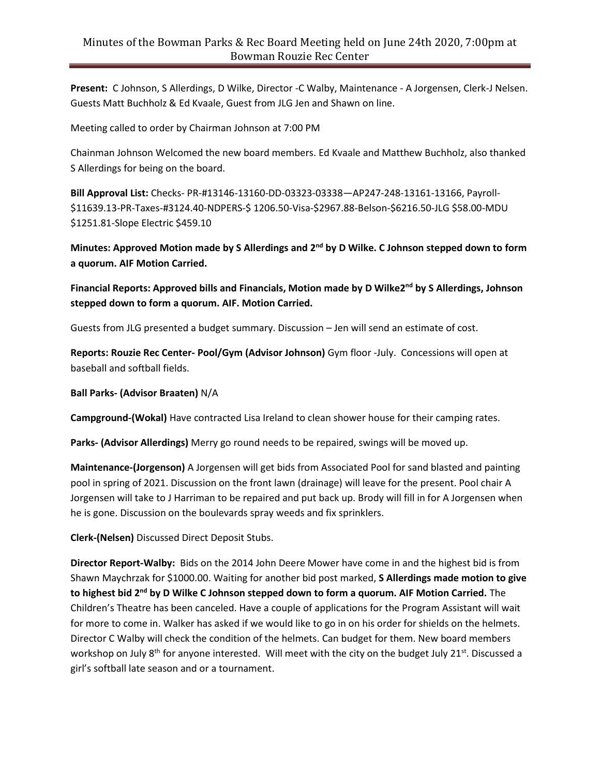**Present:** C Johnson, S Allerdings, D Wilke, Director -C Walby, Maintenance - A Jorgensen, Clerk-J Nelsen. Guests Matt Buchholz & Ed Kvaale, Guest from JLG Jen and Shawn on line.

Meeting called to order by Chairman Johnson at 7:00 PM

Chainman Johnson Welcomed the new board members. Ed Kvaale and Matthew Buchholz, also thanked S Allerdings for being on the board.

**Bill Approval List:** Checks- PR-#13146-13160-DD-03323-03338—AP247-248-13161-13166, Payroll- \$11639.13-PR-Taxes-#3124.40-NDPERS-\$ 1206.50-Visa-\$2967.88-Belson-\$6216.50-JLG \$58.00-MDU \$1251.81-Slope Electric \$459.10

**Minutes: Approved Motion made by S Allerdings and 2nd by D Wilke. C Johnson stepped down to form a quorum. AIF Motion Carried.**

**Financial Reports: Approved bills and Financials, Motion made by D Wilke2 nd by S Allerdings, Johnson stepped down to form a quorum. AIF. Motion Carried.**

Guests from JLG presented a budget summary. Discussion – Jen will send an estimate of cost.

**Reports: Rouzie Rec Center- Pool/Gym (Advisor Johnson)** Gym floor -July. Concessions will open at baseball and softball fields.

**Ball Parks- (Advisor Braaten)** N/A

**Campground-(Wokal)** Have contracted Lisa Ireland to clean shower house for their camping rates.

**Parks- (Advisor Allerdings)** Merry go round needs to be repaired, swings will be moved up.

**Maintenance-(Jorgenson)** A Jorgensen will get bids from Associated Pool for sand blasted and painting pool in spring of 2021. Discussion on the front lawn (drainage) will leave for the present. Pool chair A Jorgensen will take to J Harriman to be repaired and put back up. Brody will fill in for A Jorgensen when he is gone. Discussion on the boulevards spray weeds and fix sprinklers.

**Clerk-(Nelsen)** Discussed Direct Deposit Stubs.

**Director Report-Walby:** Bids on the 2014 John Deere Mower have come in and the highest bid is from Shawn Maychrzak for \$1000.00. Waiting for another bid post marked, **S Allerdings made motion to give to highest bid 2nd by D Wilke C Johnson stepped down to form a quorum. AIF Motion Carried.** The Children's Theatre has been canceled. Have a couple of applications for the Program Assistant will wait for more to come in. Walker has asked if we would like to go in on his order for shields on the helmets. Director C Walby will check the condition of the helmets. Can budget for them. New board members workshop on July 8<sup>th</sup> for anyone interested. Will meet with the city on the budget July 21<sup>st</sup>. Discussed a girl's softball late season and or a tournament.